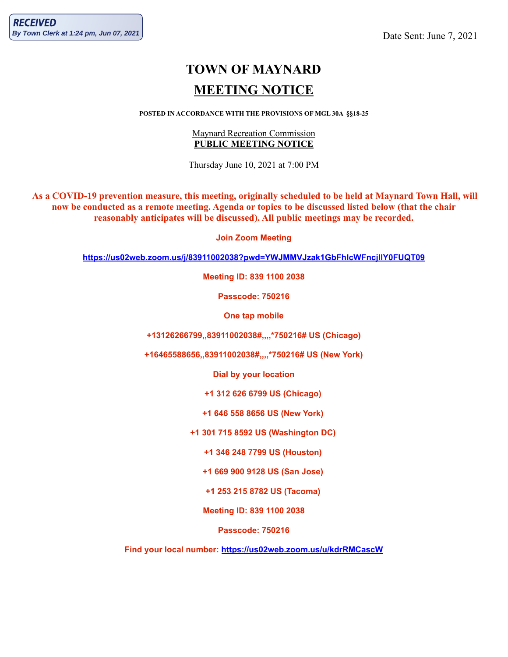# **TOWN OF MAYNARD MEETING NOTICE**

#### **POSTED IN ACCORDANCE WITH THE PROVISIONS OF MGL 30A §§18-25**

## Maynard Recreation Commission **PUBLIC MEETING NOTICE**

Thursday June 10, 2021 at 7:00 PM

As a COVID-19 prevention measure, this meeting, originally scheduled to be held at Maynard Town Hall, will now be conducted as a remote meeting. Agenda or topics to be discussed listed below (that the chair **reasonably anticipates will be discussed). All public meetings may be recorded.**

**Join Zoom Meeting**

**<https://us02web.zoom.us/j/83911002038?pwd=YWJMMVJzak1GbFhIcWFncjllY0FUQT09>**

**Meeting ID: 839 1100 2038**

**Passcode: 750216**

**One tap mobile**

**+13126266799,,83911002038#,,,,\*750216# US (Chicago)**

**+16465588656,,83911002038#,,,,\*750216# US (New York)**

**Dial by your location**

**+1 312 626 6799 US (Chicago)**

**+1 646 558 8656 US (New York)**

**+1 301 715 8592 US (Washington DC)**

**+1 346 248 7799 US (Houston)**

**+1 669 900 9128 US (San Jose)**

**+1 253 215 8782 US (Tacoma)**

**Meeting ID: 839 1100 2038**

**Passcode: 750216**

**Find your local number: <https://us02web.zoom.us/u/kdrRMCascW>**